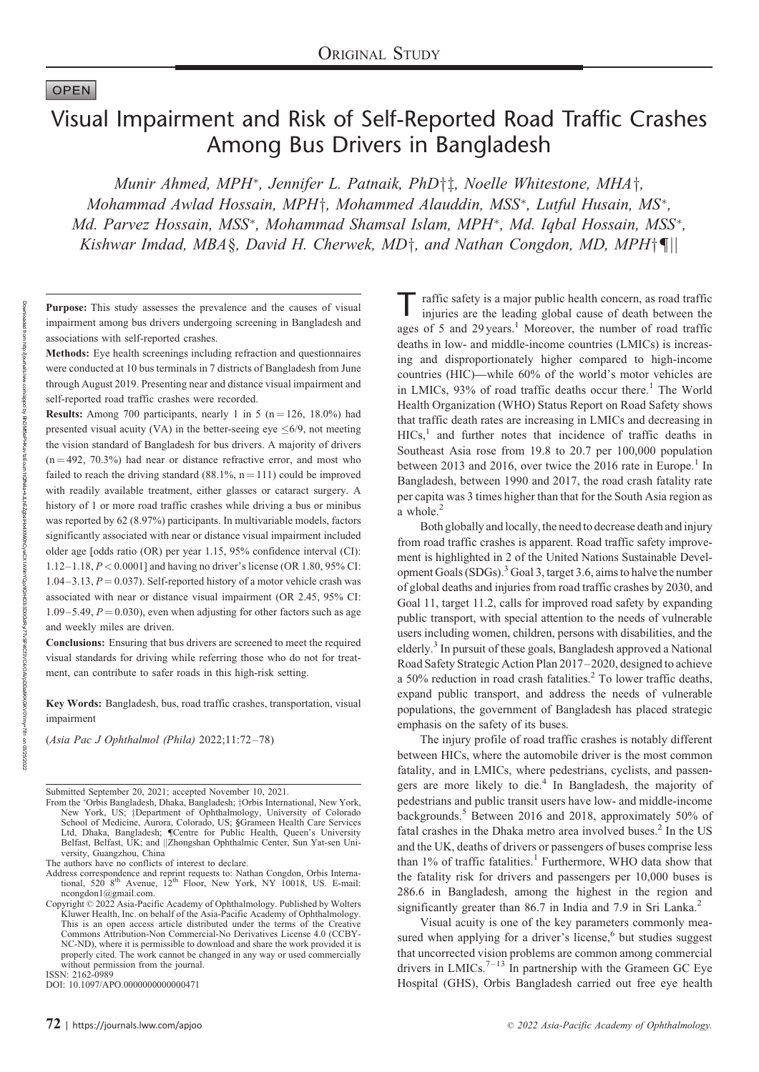# **OPEN**

Downloaded from

http://journals.lww.com/apjoo

হ

BhDMf5ePHXav1zEoum1tQfxHav4O4XKJLHEZgbsIHo4XXMiOhO3i3DDOOdRyyTyvsFl4CfdXdXDQDRGAQAXpDDa8KKGXQXDVFl4CfaFkADtzFl4Cf Kav1zEoum1tQ1M4a+kJLhEZgbs|Ho4XMi0hCywCX1AWnYQp/IIQtHD38D0OdRyr7TvSFl4Cf3VC4VOAVpDDa8KKGKV0Ymy+78= or

# Visual Impairment and Risk of Self-Reported Road Traffic Crashes Among Bus Drivers in Bangladesh

Munir Ahmed, MPH<sup>\*</sup>, Jennifer L. Patnaik, PhD<sup>†</sup>‡, Noelle Whitestone, MHA<sup>†</sup>, Mohammad Awlad Hossain, MPH<sup>+</sup>, Mohammed Alauddin, MSS<sup>\*</sup>, Lutful Husain, MS<sup>\*</sup>, Md. Parvez Hossain, MSS\*, Mohammad Shamsal Islam, MPH\*, Md. Iqbal Hossain, MSS\*, Kishwar Imdad, MBA§, David H. Cherwek, MD $\dagger$ , and Nathan Congdon, MD, MPH $\dagger$ ¶||

Purpose: This study assesses the prevalence and the causes of visual impairment among bus drivers undergoing screening in Bangladesh and associations with self-reported crashes.

Methods: Eye health screenings including refraction and questionnaires were conducted at 10 bus terminals in 7 districts of Bangladesh from June through August 2019. Presenting near and distance visual impairment and self-reported road traffic crashes were recorded.

**Results:** Among 700 participants, nearly 1 in 5 ( $n = 126$ , 18.0%) had presented visual acuity (VA) in the better-seeing eye  $\leq 6/9$ , not meeting the vision standard of Bangladesh for bus drivers. A majority of drivers  $(n = 492, 70.3%)$  had near or distance refractive error, and most who failed to reach the driving standard (88.1%,  $n = 111$ ) could be improved with readily available treatment, either glasses or cataract surgery. A history of 1 or more road traffic crashes while driving a bus or minibus was reported by 62 (8.97%) participants. In multivariable models, factors significantly associated with near or distance visual impairment included older age [odds ratio (OR) per year 1.15, 95% confidence interval (CI): 1.12–1.18, P < 0.0001] and having no driver's license (OR 1.80, 95% CI:  $1.04-3.13$ ,  $P = 0.037$ ). Self-reported history of a motor vehicle crash was associated with near or distance visual impairment (OR 2.45, 95% CI: 1.09–5.49,  $P = 0.030$ , even when adjusting for other factors such as age and weekly miles are driven.

Conclusions: Ensuring that bus drivers are screened to meet the required visual standards for driving while referring those who do not for treatment, can contribute to safer roads in this high-risk setting.

Key Words: Bangladesh, bus, road traffic crashes, transportation, visual impairment

(Asia Pac J Ophthalmol (Phila) 2022;11:72–78)

Submitted September 20, 2021; accepted November 10, 2021.

The authors have no conflicts of interest to declare.<br>Address correspondence and reprint requests to: Nathan Congdon, Orbis Interna-<br>tional, 520 8<sup>th</sup> Avenue, 12<sup>th</sup> Floor, New York, NY 10018, US. E-mail: [ncongdon1@gmail.com.](mailto:ncongdon1@gmail.com)<br>Copyright © 2022 Asia-Pacific Academy of Ophthalmology. Published by Wolters

ISSN: 2162-0989

DOI: 10.1097/APO.0000000000000471

raffic safety is a major public health concern, as road traffic injuries are the leading global cause of death between the ages of 5 and 29 years.<sup>1</sup> Moreover, the number of road traffic deaths in low- and middle-income countries (LMICs) is increasing and disproportionately higher compared to high-income countries (HIC)—while 60% of the world's motor vehicles are in LMICs,  $93\%$  of road traffic deaths occur there.<sup>1</sup> The World Health Organization (WHO) Status Report on Road Safety shows that traffic death rates are increasing in LMICs and decreasing in  $HICs<sub>1</sub><sup>1</sup>$  and further notes that incidence of traffic deaths in Southeast Asia rose from 19.8 to 20.7 per 100,000 population between 2013 and 2016, over twice the 2016 rate in Europe.<sup>1</sup> In Bangladesh, between 1990 and 2017, the road crash fatality rate per capita was 3 times higher than that for the South Asia region as a whole.<sup>2</sup>

Both globally and locally, the need to decrease death and injury from road traffic crashes is apparent. Road traffic safety improvement is highlighted in 2 of the United Nations Sustainable Development Goals (SDGs).<sup>3</sup> Goal 3, target 3.6, aims to halve the number of global deaths and injuries from road traffic crashes by 2030, and Goal 11, target 11.2, calls for improved road safety by expanding public transport, with special attention to the needs of vulnerable users including women, children, persons with disabilities, and the elderly.3 In pursuit of these goals, Bangladesh approved a National Road Safety Strategic Action Plan 2017–2020, designed to achieve a 50% reduction in road crash fatalities.<sup>2</sup> To lower traffic deaths, expand public transport, and address the needs of vulnerable populations, the government of Bangladesh has placed strategic emphasis on the safety of its buses.

The injury profile of road traffic crashes is notably different between HICs, where the automobile driver is the most common fatality, and in LMICs, where pedestrians, cyclists, and passengers are more likely to die.<sup>4</sup> In Bangladesh, the majority of pedestrians and public transit users have low- and middle-income backgrounds.<sup>5</sup> Between 2016 and 2018, approximately 50% of fatal crashes in the Dhaka metro area involved buses.<sup>2</sup> In the US and the UK, deaths of drivers or passengers of buses comprise less than  $1\%$  of traffic fatalities.<sup>1</sup> Furthermore, WHO data show that the fatality risk for drivers and passengers per 10,000 buses is 286.6 in Bangladesh, among the highest in the region and significantly greater than 86.7 in India and 7.9 in Sri Lanka.<sup>2</sup>

Visual acuity is one of the key parameters commonly measured when applying for a driver's license, $6$  but studies suggest that uncorrected vision problems are common among commercial drivers in LMICs.<sup>7–13</sup> In partnership with the Grameen GC Eye Hospital (GHS), Orbis Bangladesh carried out free eye health

03/20222

From the "Orbis Bangladesh, Dhaka, Bangladesh; †Orbis International, New York, New York, US; ‡Department of Ophthalmology, University of Colorado School of Medicine, Aurora, Colorado, US; §Grameen Health Care Services Ltd, Dhaka, Bangladesh; ¶Centre for Public Health, Queen's University Belfast, Belfast, UK; and ||Zhongshan Ophthalmic Center, Sun Yat-sen University, Guangzhou, China

Kluwer Health, Inc. on behalf of the Asia-Pacific Academy of Ophthalmology. This is an open access article distributed under the terms of the [Creative](http://creativecommons.org/licenses/by-nc-nd/4.0) [Commons Attribution-Non Commercial-No Derivatives License 4.0](http://creativecommons.org/licenses/by-nc-nd/4.0) (CCBY-NC-ND), where it is permissible to download and share the work provided it is properly cited. The work cannot be changed in any way or used commercially without permission from the journal.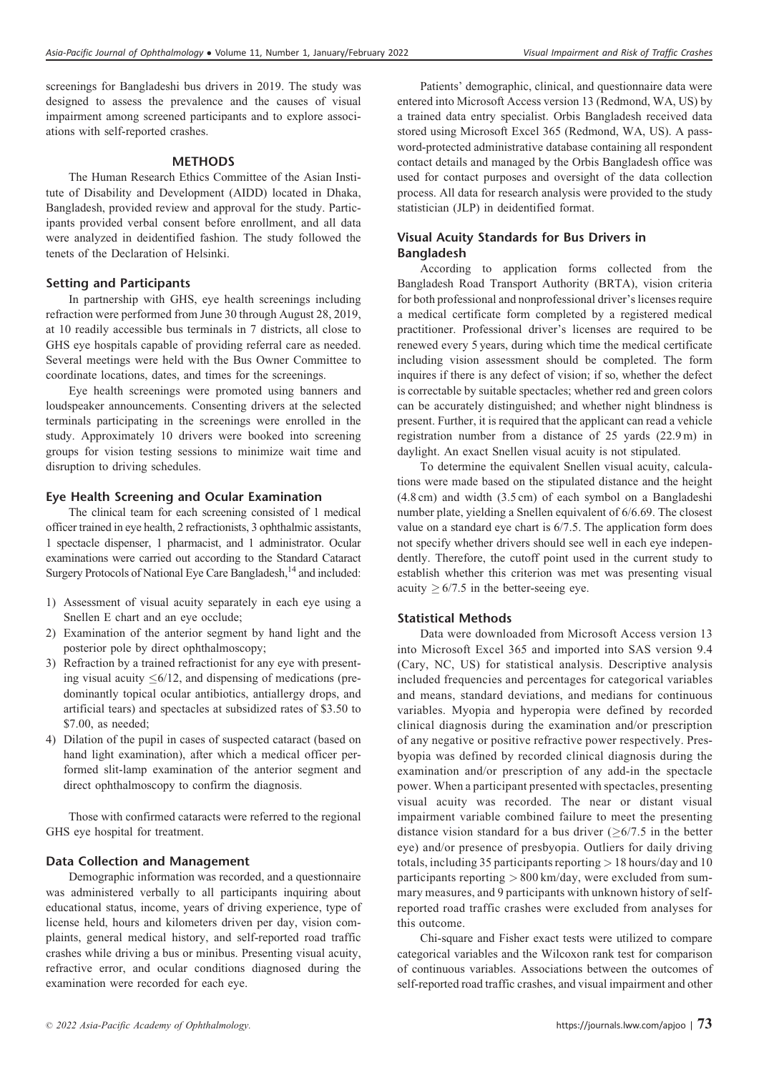screenings for Bangladeshi bus drivers in 2019. The study was designed to assess the prevalence and the causes of visual impairment among screened participants and to explore associations with self-reported crashes.

## **METHODS**

The Human Research Ethics Committee of the Asian Institute of Disability and Development (AIDD) located in Dhaka, Bangladesh, provided review and approval for the study. Participants provided verbal consent before enrollment, and all data were analyzed in deidentified fashion. The study followed the tenets of the Declaration of Helsinki.

# Setting and Participants

In partnership with GHS, eye health screenings including refraction were performed from June 30 through August 28, 2019, at 10 readily accessible bus terminals in 7 districts, all close to GHS eye hospitals capable of providing referral care as needed. Several meetings were held with the Bus Owner Committee to coordinate locations, dates, and times for the screenings.

Eye health screenings were promoted using banners and loudspeaker announcements. Consenting drivers at the selected terminals participating in the screenings were enrolled in the study. Approximately 10 drivers were booked into screening groups for vision testing sessions to minimize wait time and disruption to driving schedules.

# Eye Health Screening and Ocular Examination

The clinical team for each screening consisted of 1 medical officer trained in eye health, 2 refractionists, 3 ophthalmic assistants, 1 spectacle dispenser, 1 pharmacist, and 1 administrator. Ocular examinations were carried out according to the Standard Cataract Surgery Protocols of National Eye Care Bangladesh,<sup>14</sup> and included:

- 1) Assessment of visual acuity separately in each eye using a Snellen E chart and an eye occlude;
- 2) Examination of the anterior segment by hand light and the posterior pole by direct ophthalmoscopy;
- 3) Refraction by a trained refractionist for any eye with presenting visual acuity  $\leq 6/12$ , and dispensing of medications (predominantly topical ocular antibiotics, antiallergy drops, and artificial tears) and spectacles at subsidized rates of \$3.50 to \$7.00, as needed;
- 4) Dilation of the pupil in cases of suspected cataract (based on hand light examination), after which a medical officer performed slit-lamp examination of the anterior segment and direct ophthalmoscopy to confirm the diagnosis.

Those with confirmed cataracts were referred to the regional GHS eye hospital for treatment.

# Data Collection and Management

Demographic information was recorded, and a questionnaire was administered verbally to all participants inquiring about educational status, income, years of driving experience, type of license held, hours and kilometers driven per day, vision complaints, general medical history, and self-reported road traffic crashes while driving a bus or minibus. Presenting visual acuity, refractive error, and ocular conditions diagnosed during the examination were recorded for each eye.

Patients' demographic, clinical, and questionnaire data were entered into Microsoft Access version 13 (Redmond, WA, US) by a trained data entry specialist. Orbis Bangladesh received data stored using Microsoft Excel 365 (Redmond, WA, US). A password-protected administrative database containing all respondent contact details and managed by the Orbis Bangladesh office was used for contact purposes and oversight of the data collection process. All data for research analysis were provided to the study statistician (JLP) in deidentified format.

# Visual Acuity Standards for Bus Drivers in Bangladesh

According to application forms collected from the Bangladesh Road Transport Authority (BRTA), vision criteria for both professional and nonprofessional driver's licenses require a medical certificate form completed by a registered medical practitioner. Professional driver's licenses are required to be renewed every 5 years, during which time the medical certificate including vision assessment should be completed. The form inquires if there is any defect of vision; if so, whether the defect is correctable by suitable spectacles; whether red and green colors can be accurately distinguished; and whether night blindness is present. Further, it is required that the applicant can read a vehicle registration number from a distance of 25 yards (22.9 m) in daylight. An exact Snellen visual acuity is not stipulated.

To determine the equivalent Snellen visual acuity, calculations were made based on the stipulated distance and the height (4.8 cm) and width (3.5 cm) of each symbol on a Bangladeshi number plate, yielding a Snellen equivalent of 6/6.69. The closest value on a standard eye chart is 6/7.5. The application form does not specify whether drivers should see well in each eye independently. Therefore, the cutoff point used in the current study to establish whether this criterion was met was presenting visual acuity  $\geq 6/7.5$  in the better-seeing eye.

# Statistical Methods

Data were downloaded from Microsoft Access version 13 into Microsoft Excel 365 and imported into SAS version 9.4 (Cary, NC, US) for statistical analysis. Descriptive analysis included frequencies and percentages for categorical variables and means, standard deviations, and medians for continuous variables. Myopia and hyperopia were defined by recorded clinical diagnosis during the examination and/or prescription of any negative or positive refractive power respectively. Presbyopia was defined by recorded clinical diagnosis during the examination and/or prescription of any add-in the spectacle power. When a participant presented with spectacles, presenting visual acuity was recorded. The near or distant visual impairment variable combined failure to meet the presenting distance vision standard for a bus driver  $(6/7.5)$  in the better eye) and/or presence of presbyopia. Outliers for daily driving totals, including 35 participants reporting > 18 hours/day and 10 participants reporting > 800 km/day, were excluded from summary measures, and 9 participants with unknown history of selfreported road traffic crashes were excluded from analyses for this outcome.

Chi-square and Fisher exact tests were utilized to compare categorical variables and the Wilcoxon rank test for comparison of continuous variables. Associations between the outcomes of self-reported road traffic crashes, and visual impairment and other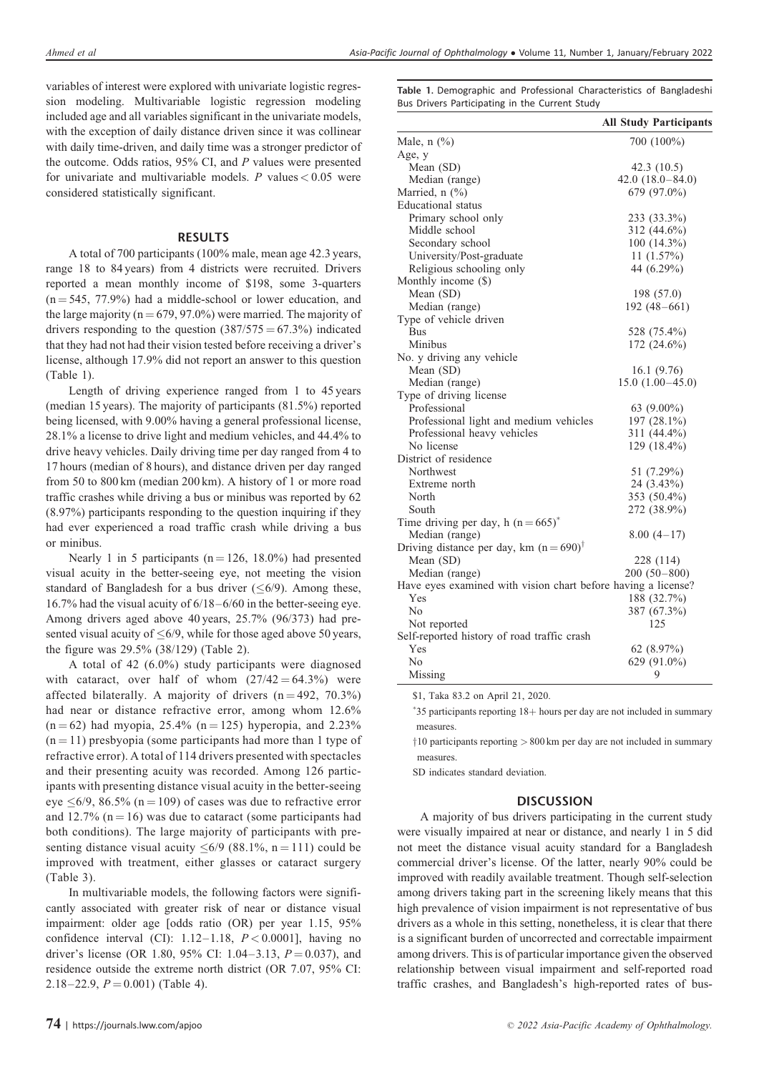variables of interest were explored with univariate logistic regression modeling. Multivariable logistic regression modeling included age and all variables significant in the univariate models, with the exception of daily distance driven since it was collinear with daily time-driven, and daily time was a stronger predictor of the outcome. Odds ratios, 95% CI, and P values were presented for univariate and multivariable models. P values  $< 0.05$  were considered statistically significant.

#### RESULTS

A total of 700 participants (100% male, mean age 42.3 years, range 18 to 84 years) from 4 districts were recruited. Drivers reported a mean monthly income of \$198, some 3-quarters  $(n = 545, 77.9%)$  had a middle-school or lower education, and the large majority ( $n = 679, 97.0\%$ ) were married. The majority of drivers responding to the question  $(387/575 = 67.3\%)$  indicated that they had not had their vision tested before receiving a driver's license, although 17.9% did not report an answer to this question (Table 1).

Length of driving experience ranged from 1 to 45 years (median 15 years). The majority of participants (81.5%) reported being licensed, with 9.00% having a general professional license, 28.1% a license to drive light and medium vehicles, and 44.4% to drive heavy vehicles. Daily driving time per day ranged from 4 to 17 hours (median of 8 hours), and distance driven per day ranged from 50 to 800 km (median 200 km). A history of 1 or more road traffic crashes while driving a bus or minibus was reported by 62 (8.97%) participants responding to the question inquiring if they had ever experienced a road traffic crash while driving a bus or minibus.

Nearly 1 in 5 participants ( $n = 126$ , 18.0%) had presented visual acuity in the better-seeing eye, not meeting the vision standard of Bangladesh for a bus driver  $(\leq 6/9)$ . Among these, 16.7% had the visual acuity of 6/18–6/60 in the better-seeing eye. Among drivers aged above 40 years, 25.7% (96/373) had presented visual acuity of  $\leq 6/9$ , while for those aged above 50 years, the figure was 29.5% (38/129) (Table 2).

A total of 42 (6.0%) study participants were diagnosed with cataract, over half of whom  $(27/42 = 64.3%)$  were affected bilaterally. A majority of drivers  $(n = 492, 70.3\%)$ had near or distance refractive error, among whom 12.6%  $(n = 62)$  had myopia, 25.4%  $(n = 125)$  hyperopia, and 2.23%  $(n = 11)$  presbyopia (some participants had more than 1 type of refractive error). A total of 114 drivers presented with spectacles and their presenting acuity was recorded. Among 126 participants with presenting distance visual acuity in the better-seeing eye  $\leq 6/9$ , 86.5% (n = 109) of cases was due to refractive error and 12.7% ( $n = 16$ ) was due to cataract (some participants had both conditions). The large majority of participants with presenting distance visual acuity  $\leq 6/9$  (88.1%, n = 111) could be improved with treatment, either glasses or cataract surgery (Table 3).

In multivariable models, the following factors were significantly associated with greater risk of near or distance visual impairment: older age [odds ratio (OR) per year 1.15, 95% confidence interval (CI):  $1.12-1.18$ ,  $P < 0.0001$ ], having no driver's license (OR 1.80, 95% CI: 1.04–3.13,  $P = 0.037$ ), and residence outside the extreme north district (OR 7.07, 95% CI: 2.18–22.9,  $P = 0.001$ ) (Table 4).

Table 1. Demographic and Professional Characteristics of Bangladeshi Bus Drivers Participating in the Current Study

|                                                               | <b>All Study Participants</b> |
|---------------------------------------------------------------|-------------------------------|
| Male, $n$ $(\%)$                                              | 700 (100%)                    |
| Age, y                                                        |                               |
| Mean (SD)                                                     | 42.3 (10.5)                   |
| Median (range)                                                | $42.0(18.0 - 84.0)$           |
| Married, $n$ $(\%)$                                           | 679 (97.0%)                   |
| Educational status                                            |                               |
| Primary school only                                           | 233 (33.3%)                   |
| Middle school                                                 | 312 (44.6%)                   |
| Secondary school                                              | $100(14.3\%)$                 |
| University/Post-graduate                                      | 11(1.57%)                     |
| Religious schooling only                                      | 44 (6.29%)                    |
| Monthly income (\$)                                           |                               |
| Mean (SD)                                                     | 198 (57.0)                    |
| Median (range)                                                | $192(48-661)$                 |
| Type of vehicle driven                                        |                               |
| <b>Bus</b>                                                    | 528 (75.4%)                   |
| Minibus                                                       | 172 (24.6%)                   |
| No. y driving any vehicle                                     |                               |
| Mean (SD)                                                     | 16.1 (9.76)                   |
| Median (range)                                                | $15.0(1.00-45.0)$             |
| Type of driving license                                       |                               |
| Professional                                                  | 63 $(9.00\%)$                 |
| Professional light and medium vehicles                        | 197 (28.1%)                   |
| Professional heavy vehicles                                   | 311 (44.4%)                   |
| No license                                                    | 129 (18.4%)                   |
| District of residence                                         |                               |
| Northwest                                                     | 51 (7.29%)                    |
| Extreme north                                                 | 24 (3.43%)                    |
| North                                                         | 353 (50.4%)                   |
| South                                                         | 272 (38.9%)                   |
| Time driving per day, h $(n=665)^*$                           |                               |
| Median (range)                                                | $8.00(4-17)$                  |
| Driving distance per day, km $(n=690)^{\dagger}$              |                               |
| Mean (SD)                                                     | 228 (114)                     |
| Median (range)                                                | $200(50-800)$                 |
| Have eyes examined with vision chart before having a license? |                               |
| Yes                                                           | 188 (32.7%)                   |
| No                                                            | 387 (67.3%)                   |
| Not reported                                                  | 125                           |
| Self-reported history of road traffic crash                   |                               |
| Yes                                                           | 62 $(8.97\%)$                 |
| No                                                            | 629 (91.0%)                   |
| Missing                                                       | 9                             |

\$1, Taka 83.2 on April 21, 2020.

\*35 participants reporting 18+ hours per day are not included in summary measures.

 $\frac{10}{10}$  participants reporting  $> 800$  km per day are not included in summary measures.

SD indicates standard deviation.

# **DISCUSSION**

A majority of bus drivers participating in the current study were visually impaired at near or distance, and nearly 1 in 5 did not meet the distance visual acuity standard for a Bangladesh commercial driver's license. Of the latter, nearly 90% could be improved with readily available treatment. Though self-selection among drivers taking part in the screening likely means that this high prevalence of vision impairment is not representative of bus drivers as a whole in this setting, nonetheless, it is clear that there is a significant burden of uncorrected and correctable impairment among drivers. This is of particular importance given the observed relationship between visual impairment and self-reported road traffic crashes, and Bangladesh's high-reported rates of bus-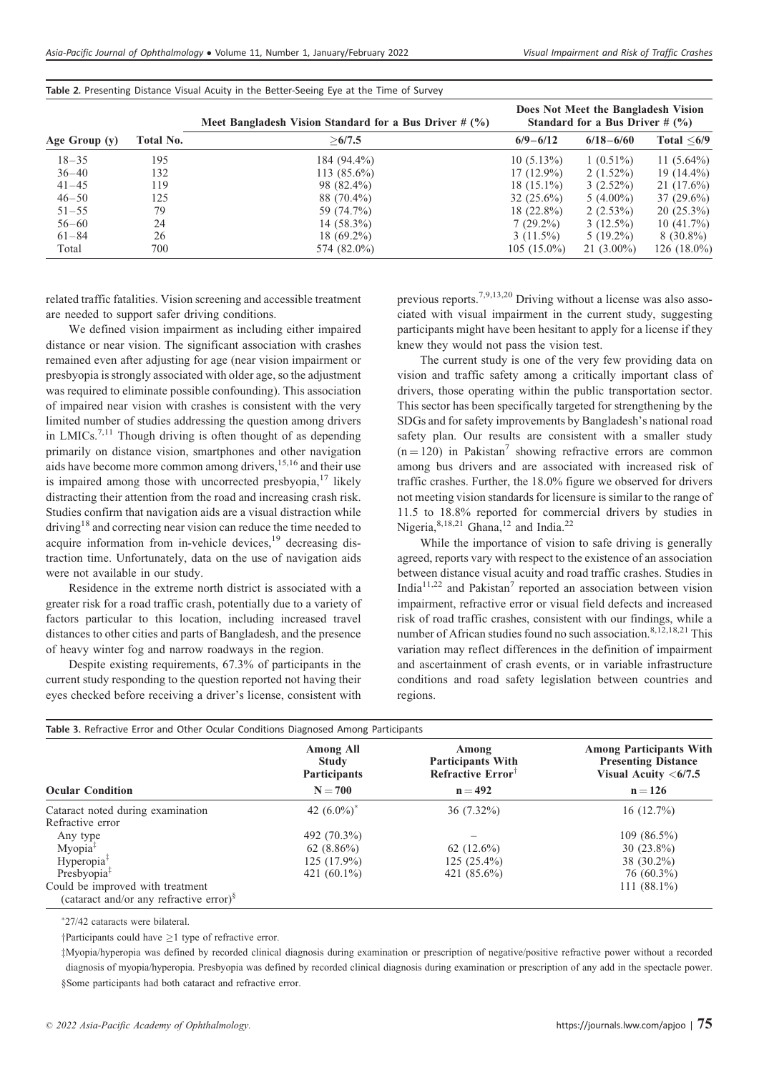|               |           | Meet Bangladesh Vision Standard for a Bus Driver $# (%)$ | Does Not Meet the Bangladesh Vision<br>Standard for a Bus Driver $# (%)$ |               |                  |
|---------------|-----------|----------------------------------------------------------|--------------------------------------------------------------------------|---------------|------------------|
| Age Group (y) | Total No. | >6/7.5                                                   | $6/9 - 6/12$                                                             | $6/18 - 6/60$ | Total $\leq 6/9$ |
| $18 - 35$     | 195       | 184 (94.4%)                                              | $10(5.13\%)$                                                             | $1(0.51\%)$   | 11 $(5.64\%)$    |
| $36 - 40$     | 132       | $113(85.6\%)$                                            | $17(12.9\%)$                                                             | $2(1.52\%)$   | $19(14.4\%)$     |
| $41 - 45$     | 119       | 98 (82.4%)                                               | $18(15.1\%)$                                                             | $3(2.52\%)$   | $21(17.6\%)$     |
| $46 - 50$     | 125       | 88 (70.4%)                                               | $32(25.6\%)$                                                             | $5(4.00\%)$   | $37(29.6\%)$     |
| $51 - 55$     | 79        | 59 (74.7%)                                               | $18(22.8\%)$                                                             | $2(2.53\%)$   | $20(25.3\%)$     |
| $56 - 60$     | 24        | $14(58.3\%)$                                             | $7(29.2\%)$                                                              | $3(12.5\%)$   | 10(41.7%)        |
| $61 - 84$     | 26        | $18(69.2\%)$                                             | $3(11.5\%)$                                                              | $5(19.2\%)$   | $8(30.8\%)$      |
| Total         | 700       | 574 (82.0%)                                              | $105(15.0\%)$                                                            | $21(3.00\%)$  | $126(18.0\%)$    |

Table 2. Presenting Distance Visual Acuity in the Better-Seeing Eye at the Time of Survey

related traffic fatalities. Vision screening and accessible treatment are needed to support safer driving conditions.

We defined vision impairment as including either impaired distance or near vision. The significant association with crashes remained even after adjusting for age (near vision impairment or presbyopia is strongly associated with older age, so the adjustment was required to eliminate possible confounding). This association of impaired near vision with crashes is consistent with the very limited number of studies addressing the question among drivers in LMICs.<sup>7,11</sup> Though driving is often thought of as depending primarily on distance vision, smartphones and other navigation aids have become more common among drivers,<sup>15,16</sup> and their use is impaired among those with uncorrected presbyopia, $17$  likely distracting their attention from the road and increasing crash risk. Studies confirm that navigation aids are a visual distraction while driving<sup>18</sup> and correcting near vision can reduce the time needed to acquire information from in-vehicle devices,<sup>19</sup> decreasing distraction time. Unfortunately, data on the use of navigation aids were not available in our study.

Residence in the extreme north district is associated with a greater risk for a road traffic crash, potentially due to a variety of factors particular to this location, including increased travel distances to other cities and parts of Bangladesh, and the presence of heavy winter fog and narrow roadways in the region.

Despite existing requirements, 67.3% of participants in the current study responding to the question reported not having their eyes checked before receiving a driver's license, consistent with previous reports.7,9,13,20 Driving without a license was also associated with visual impairment in the current study, suggesting participants might have been hesitant to apply for a license if they knew they would not pass the vision test.

The current study is one of the very few providing data on vision and traffic safety among a critically important class of drivers, those operating within the public transportation sector. This sector has been specifically targeted for strengthening by the SDGs and for safety improvements by Bangladesh's national road safety plan. Our results are consistent with a smaller study  $(n = 120)$  in Pakistan<sup>7</sup> showing refractive errors are common among bus drivers and are associated with increased risk of traffic crashes. Further, the 18.0% figure we observed for drivers not meeting vision standards for licensure is similar to the range of 11.5 to 18.8% reported for commercial drivers by studies in Nigeria,  $8,18,21$  Ghana,  $12$  and India.<sup>22</sup>

While the importance of vision to safe driving is generally agreed, reports vary with respect to the existence of an association between distance visual acuity and road traffic crashes. Studies in India<sup>11,22</sup> and Pakistan<sup>7</sup> reported an association between vision impairment, refractive error or visual field defects and increased risk of road traffic crashes, consistent with our findings, while a number of African studies found no such association.<sup>8,12,18,21</sup> This variation may reflect differences in the definition of impairment and ascertainment of crash events, or in variable infrastructure conditions and road safety legislation between countries and regions.

| Table 3. Refractive Error and Other Ocular Conditions Diagnosed Among Participants      | <b>Among All</b><br><b>Study</b><br><b>Participants</b> | Among<br><b>Participants With</b><br>Refractive $ErrorT$ | <b>Among Participants With</b><br><b>Presenting Distance</b><br>Visual Acuity $<\frac{6}{7.5}$ |
|-----------------------------------------------------------------------------------------|---------------------------------------------------------|----------------------------------------------------------|------------------------------------------------------------------------------------------------|
| <b>Ocular Condition</b>                                                                 | $N = 700$                                               | $n = 492$                                                | $n = 126$                                                                                      |
| Cataract noted during examination                                                       | 42 $(6.0\%)^*$                                          | $36(7.32\%)$                                             | 16(12.7%)                                                                                      |
| Refractive error                                                                        |                                                         |                                                          |                                                                                                |
| Any type                                                                                | 492 (70.3%)                                             |                                                          | $109(86.5\%)$                                                                                  |
| Myopia <sup>‡</sup>                                                                     | $62(8.86\%)$                                            | 62 $(12.6\%)$                                            | $30(23.8\%)$                                                                                   |
| Hyperopia <sup>‡</sup>                                                                  | $125(17.9\%)$                                           | $125(25.4\%)$                                            | $38(30.2\%)$                                                                                   |
| Presbyopia $‡$                                                                          | 421 $(60.1\%)$                                          | 421 (85.6%)                                              | $76(60.3\%)$                                                                                   |
| Could be improved with treatment<br>(cataract and/or any refractive error) <sup>§</sup> |                                                         |                                                          | 111 $(88.1\%)$                                                                                 |

- 27/42 cataracts were bilateral.

 $\dagger$ Participants could have  $>1$  type of refractive error.

zMyopia/hyperopia was defined by recorded clinical diagnosis during examination or prescription of negative/positive refractive power without a recorded diagnosis of myopia/hyperopia. Presbyopia was defined by recorded clinical diagnosis during examination or prescription of any add in the spectacle power. §Some participants had both cataract and refractive error.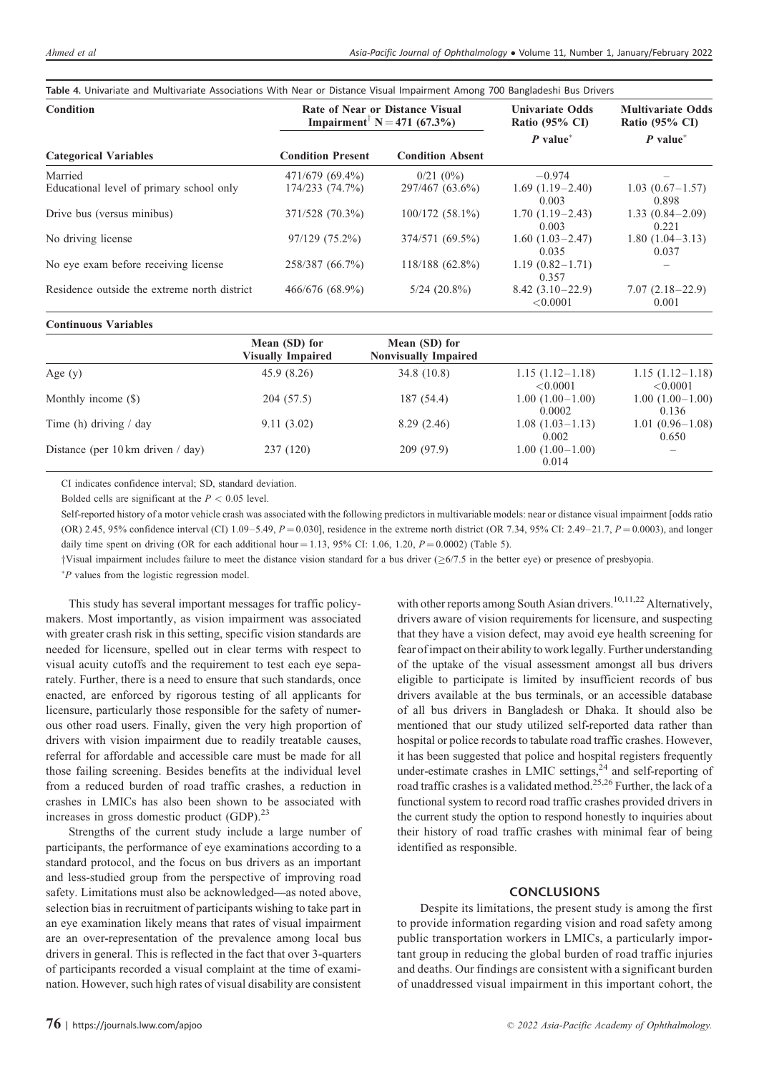| Condition                                    |                          | Rate of Near or Distance Visual<br>Impairment <sup><math>\bar{N}</math></sup> N = 471 (67.3%) | <b>Univariate Odds</b><br>Ratio $(95\% \text{ CI})$ | <b>Multivariate Odds</b><br>Ratio $(95\% \text{ CI})$ |
|----------------------------------------------|--------------------------|-----------------------------------------------------------------------------------------------|-----------------------------------------------------|-------------------------------------------------------|
|                                              |                          |                                                                                               | $P value*$                                          | $P$ value <sup>*</sup>                                |
| <b>Categorical Variables</b>                 | <b>Condition Present</b> | <b>Condition Absent</b>                                                                       |                                                     |                                                       |
| Married                                      | 471/679 (69.4%)          | $0/21(0\%)$                                                                                   | $-0.974$                                            |                                                       |
| Educational level of primary school only     | 174/233 (74.7%)          | 297/467 (63.6%)                                                                               | $1.69(1.19-2.40)$<br>0.003                          | $1.03(0.67-1.57)$<br>0.898                            |
| Drive bus (versus minibus)                   | 371/528 (70.3%)          | $100/172(58.1\%)$                                                                             | $1.70(1.19-2.43)$<br>0.003                          | $1.33(0.84 - 2.09)$<br>0.221                          |
| No driving license                           | 97/129 (75.2%)           | 374/571 (69.5%)                                                                               | $1.60(1.03-2.47)$<br>0.035                          | $1.80(1.04-3.13)$<br>0.037                            |
| No eye exam before receiving license         | 258/387 (66.7%)          | $118/188(62.8\%)$                                                                             | $1.19(0.82 - 1.71)$<br>0.357                        |                                                       |
| Residence outside the extreme north district | 466/676 (68.9%)          | $5/24$ $(20.8\%)$                                                                             | $8.42(3.10-22.9)$<br>< 0.0001                       | $7.07(2.18-22.9)$<br>0.001                            |

## Table 4. Univariate and Multivariate Associations With Near or Distance Visual Impairment Among 700 Bangladeshi Bus Drivers

#### Continuous Variables

|                                             | Mean (SD) for<br><b>Visually Impaired</b> | Mean (SD) for<br><b>Nonvisually Impaired</b> |                               |                               |
|---------------------------------------------|-------------------------------------------|----------------------------------------------|-------------------------------|-------------------------------|
| Age $(y)$                                   | 45.9(8.26)                                | 34.8(10.8)                                   | $1.15(1.12-1.18)$<br>< 0.0001 | $1.15(1.12-1.18)$<br>< 0.0001 |
| Monthly income (\$)                         | 204 (57.5)                                | 187 (54.4)                                   | $1.00(1.00-1.00)$<br>0.0002   | $1.00(1.00-1.00)$<br>0.136    |
| Time (h) driving $/$ day                    | 9.11(3.02)                                | 8.29(2.46)                                   | $1.08(1.03-1.13)$<br>0.002    | $1.01(0.96 - 1.08)$<br>0.650  |
| Distance (per $10 \text{ km}$ driven / day) | 237(120)                                  | 209(97.9)                                    | $1.00(1.00-1.00)$<br>0.014    |                               |

CI indicates confidence interval; SD, standard deviation.

Bolded cells are significant at the  $P < 0.05$  level.

Self-reported history of a motor vehicle crash was associated with the following predictors in multivariable models: near or distance visual impairment [odds ratio (OR) 2.45, 95% confidence interval (CI) 1.09–5.49,  $P = 0.030$ ], residence in the extreme north district (OR 7.34, 95% CI: 2.49–21.7,  $P = 0.0003$ ), and longer daily time spent on driving (OR for each additional hour = 1.13, 95% CI: 1.06, 1.20,  $P = 0.0002$ ) (Table 5).

 $\gamma$ Visual impairment includes failure to meet the distance vision standard for a bus driver ( $\geq 6/7.5$  in the better eye) or presence of presbyopia.

- P values from the logistic regression model.

This study has several important messages for traffic policymakers. Most importantly, as vision impairment was associated with greater crash risk in this setting, specific vision standards are needed for licensure, spelled out in clear terms with respect to visual acuity cutoffs and the requirement to test each eye separately. Further, there is a need to ensure that such standards, once enacted, are enforced by rigorous testing of all applicants for licensure, particularly those responsible for the safety of numerous other road users. Finally, given the very high proportion of drivers with vision impairment due to readily treatable causes, referral for affordable and accessible care must be made for all those failing screening. Besides benefits at the individual level from a reduced burden of road traffic crashes, a reduction in crashes in LMICs has also been shown to be associated with increases in gross domestic product (GDP).<sup>23</sup>

Strengths of the current study include a large number of participants, the performance of eye examinations according to a standard protocol, and the focus on bus drivers as an important and less-studied group from the perspective of improving road safety. Limitations must also be acknowledged—as noted above, selection bias in recruitment of participants wishing to take part in an eye examination likely means that rates of visual impairment are an over-representation of the prevalence among local bus drivers in general. This is reflected in the fact that over 3-quarters of participants recorded a visual complaint at the time of examination. However, such high rates of visual disability are consistent

with other reports among South Asian drivers.<sup>10,11,22</sup> Alternatively, drivers aware of vision requirements for licensure, and suspecting that they have a vision defect, may avoid eye health screening for fear of impact ontheir ability to work legally. Further understanding of the uptake of the visual assessment amongst all bus drivers eligible to participate is limited by insufficient records of bus drivers available at the bus terminals, or an accessible database of all bus drivers in Bangladesh or Dhaka. It should also be mentioned that our study utilized self-reported data rather than hospital or police records to tabulate road traffic crashes. However, it has been suggested that police and hospital registers frequently under-estimate crashes in LMIC settings, $^{24}$  and self-reporting of road traffic crashes is a validated method.<sup>25,26</sup> Further, the lack of a functional system to record road traffic crashes provided drivers in the current study the option to respond honestly to inquiries about their history of road traffic crashes with minimal fear of being identified as responsible.

#### CONCLUSIONS

Despite its limitations, the present study is among the first to provide information regarding vision and road safety among public transportation workers in LMICs, a particularly important group in reducing the global burden of road traffic injuries and deaths. Our findings are consistent with a significant burden of unaddressed visual impairment in this important cohort, the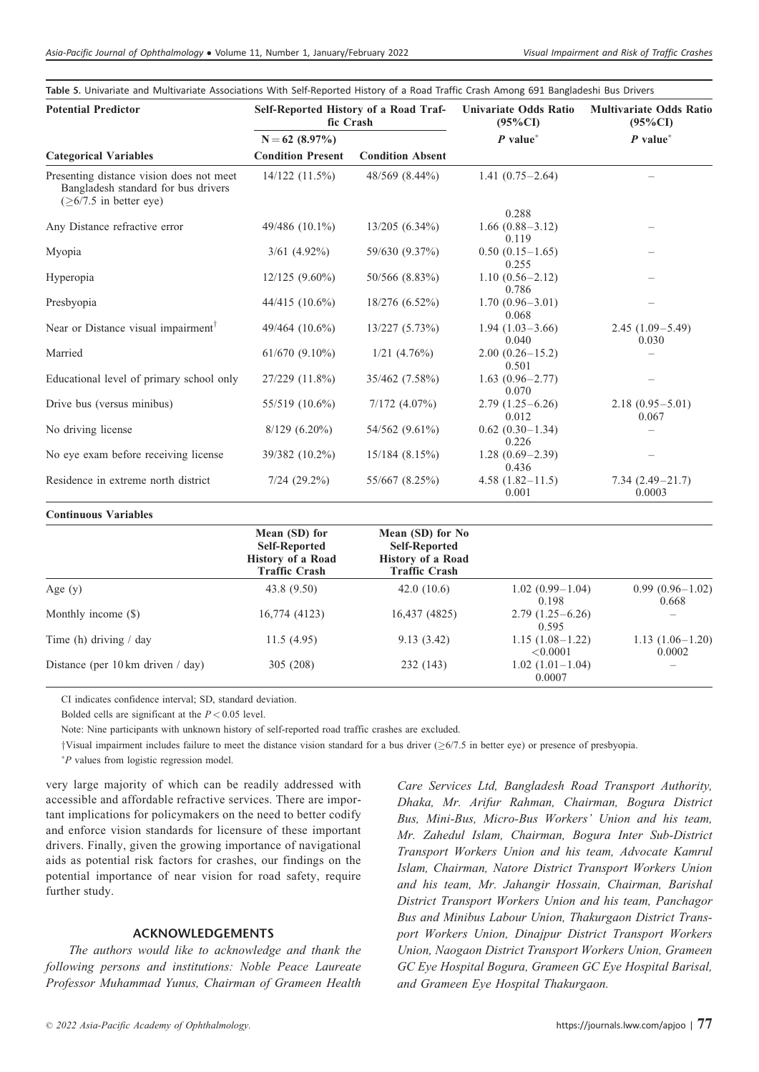| Table 5. Univariate and Multivariate Associations With Self-Reported History of a Road Traffic Crash Among 691 Bangladeshi Bus Drivers |  |
|----------------------------------------------------------------------------------------------------------------------------------------|--|
|----------------------------------------------------------------------------------------------------------------------------------------|--|

| <b>Potential Predictor</b>                                                                                      | Self-Reported History of a Road Traf-<br>fic Crash |                         | <b>Univariate Odds Ratio</b><br>$(95\%CI)$ | <b>Multivariate Odds Ratio</b><br>$(95\%CI)$<br>$P$ value <sup>*</sup> |  |
|-----------------------------------------------------------------------------------------------------------------|----------------------------------------------------|-------------------------|--------------------------------------------|------------------------------------------------------------------------|--|
|                                                                                                                 | $N = 62$ (8.97%)                                   |                         | $P$ value <sup>*</sup>                     |                                                                        |  |
| <b>Categorical Variables</b>                                                                                    | <b>Condition Present</b>                           | <b>Condition Absent</b> |                                            |                                                                        |  |
| Presenting distance vision does not meet<br>Bangladesh standard for bus drivers<br>$(\geq 6/7.5$ in better eye) | $14/122$ $(11.5\%)$                                | 48/569 (8.44%)          | $1.41(0.75 - 2.64)$                        |                                                                        |  |
|                                                                                                                 |                                                    |                         | 0.288                                      |                                                                        |  |
| Any Distance refractive error                                                                                   | 49/486 (10.1%)                                     | $13/205(6.34\%)$        | $1.66(0.88-3.12)$<br>0.119                 |                                                                        |  |
| Myopia                                                                                                          | $3/61$ (4.92%)                                     | 59/630 (9.37%)          | $0.50(0.15-1.65)$<br>0.255                 |                                                                        |  |
| Hyperopia                                                                                                       | $12/125(9.60\%)$                                   | 50/566 (8.83%)          | $1.10(0.56 - 2.12)$<br>0.786               |                                                                        |  |
| Presbyopia                                                                                                      | $44/415$ (10.6%)                                   | 18/276 (6.52%)          | $1.70(0.96 - 3.01)$<br>0.068               |                                                                        |  |
| Near or Distance visual impairment <sup>1</sup>                                                                 | $49/464$ $(10.6\%)$                                | 13/227(5.73%)           | $1.94(1.03-3.66)$<br>0.040                 | $2.45(1.09-5.49)$<br>0.030                                             |  |
| Married                                                                                                         | $61/670(9.10\%)$                                   | $1/21$ $(4.76\%)$       | $2.00(0.26 - 15.2)$<br>0.501               |                                                                        |  |
| Educational level of primary school only                                                                        | 27/229 (11.8%)                                     | 35/462 (7.58%)          | $1.63(0.96 - 2.77)$<br>0.070               |                                                                        |  |
| Drive bus (versus minibus)                                                                                      | 55/519 (10.6%)                                     | $7/172$ $(4.07\%)$      | $2.79(1.25-6.26)$<br>0.012                 | $2.18(0.95 - 5.01)$<br>0.067                                           |  |
| No driving license                                                                                              | $8/129(6.20\%)$                                    | 54/562 (9.61%)          | $0.62(0.30-1.34)$<br>0.226                 |                                                                        |  |
| No eye exam before receiving license                                                                            | 39/382 (10.2%)                                     | $15/184$ (8.15%)        | $1.28(0.69-2.39)$<br>0.436                 |                                                                        |  |
| Residence in extreme north district                                                                             | $7/24$ $(29.2\%)$                                  | 55/667 (8.25%)          | $4.58(1.82 - 11.5)$<br>0.001               | $7.34(2.49-21.7)$<br>0.0003                                            |  |

| <b>Continuous Variables</b>                 |                                                                                           |                                                                                              |                               |                              |
|---------------------------------------------|-------------------------------------------------------------------------------------------|----------------------------------------------------------------------------------------------|-------------------------------|------------------------------|
|                                             | Mean (SD) for<br><b>Self-Reported</b><br><b>History of a Road</b><br><b>Traffic Crash</b> | Mean (SD) for No<br><b>Self-Reported</b><br><b>History of a Road</b><br><b>Traffic Crash</b> |                               |                              |
| Age $(y)$                                   | 43.8 (9.50)                                                                               | 42.0(10.6)                                                                                   | $1.02(0.99-1.04)$<br>0.198    | $0.99(0.96 - 1.02)$<br>0.668 |
| Monthly income (\$)                         | 16,774 (4123)                                                                             | 16,437 (4825)                                                                                | $2.79(1.25-6.26)$<br>0.595    |                              |
| Time (h) driving $/$ day                    | 11.5(4.95)                                                                                | 9.13(3.42)                                                                                   | $1.15(1.08-1.22)$<br>< 0.0001 | $1.13(1.06-1.20)$<br>0.0002  |
| Distance (per $10 \text{ km}$ driven / day) | 305 (208)                                                                                 | 232 (143)                                                                                    | $1.02(1.01-1.04)$<br>0.0007   |                              |

CI indicates confidence interval; SD, standard deviation.

Bolded cells are significant at the  $P < 0.05$  level.

Note: Nine participants with unknown history of self-reported road traffic crashes are excluded.

 $\dagger$ Visual impairment includes failure to meet the distance vision standard for a bus driver ( $\geq 6/7.5$  in better eye) or presence of presbyopia.

- P values from logistic regression model.

very large majority of which can be readily addressed with accessible and affordable refractive services. There are important implications for policymakers on the need to better codify and enforce vision standards for licensure of these important drivers. Finally, given the growing importance of navigational aids as potential risk factors for crashes, our findings on the potential importance of near vision for road safety, require further study.

## ACKNOWLEDGEMENTS

The authors would like to acknowledge and thank the following persons and institutions: Noble Peace Laureate Professor Muhammad Yunus, Chairman of Grameen Health Care Services Ltd, Bangladesh Road Transport Authority, Dhaka, Mr. Arifur Rahman, Chairman, Bogura District Bus, Mini-Bus, Micro-Bus Workers' Union and his team, Mr. Zahedul Islam, Chairman, Bogura Inter Sub-District Transport Workers Union and his team, Advocate Kamrul Islam, Chairman, Natore District Transport Workers Union and his team, Mr. Jahangir Hossain, Chairman, Barishal District Transport Workers Union and his team, Panchagor Bus and Minibus Labour Union, Thakurgaon District Transport Workers Union, Dinajpur District Transport Workers Union, Naogaon District Transport Workers Union, Grameen GC Eye Hospital Bogura, Grameen GC Eye Hospital Barisal, and Grameen Eye Hospital Thakurgaon.